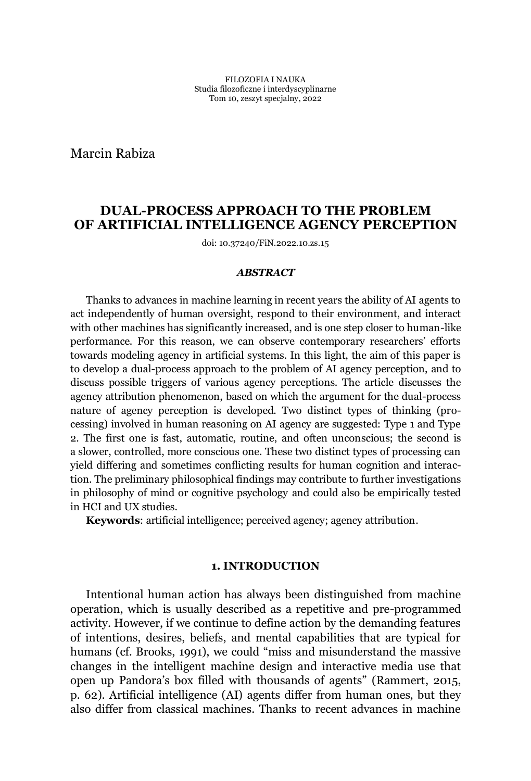Marcin Rabiza

# **DUAL-PROCESS APPROACH TO THE PROBLEM OF ARTIFICIAL INTELLIGENCE AGENCY PERCEPTION**

doi: 10.37240/FiN.2022.10.zs.15

#### *ABSTRACT*

Thanks to advances in machine learning in recent years the ability of AI agents to act independently of human oversight, respond to their environment, and interact with other machines has significantly increased, and is one step closer to human-like performance. For this reason, we can observe contemporary researchers' efforts towards modeling agency in artificial systems. In this light, the aim of this paper is to develop a dual-process approach to the problem of AI agency perception, and to discuss possible triggers of various agency perceptions. The article discusses the agency attribution phenomenon, based on which the argument for the dual-process nature of agency perception is developed. Two distinct types of thinking (processing) involved in human reasoning on AI agency are suggested: Type 1 and Type 2. The first one is fast, automatic, routine, and often unconscious; the second is a slower, controlled, more conscious one. These two distinct types of processing can yield differing and sometimes conflicting results for human cognition and interaction. The preliminary philosophical findings may contribute to further investigations in philosophy of mind or cognitive psychology and could also be empirically tested in HCI and UX studies.

**Keywords**: artificial intelligence; perceived agency; agency attribution.

## **1. INTRODUCTION**

Intentional human action has always been distinguished from machine operation, which is usually described as a repetitive and pre-programmed activity. However, if we continue to define action by the demanding features of intentions, desires, beliefs, and mental capabilities that are typical for humans (cf. Brooks, 1991), we could "miss and misunderstand the massive changes in the intelligent machine design and interactive media use that open up Pandora's box filled with thousands of agents" (Rammert, 2015, p. 62). Artificial intelligence (AI) agents differ from human ones, but they also differ from classical machines. Thanks to recent advances in machine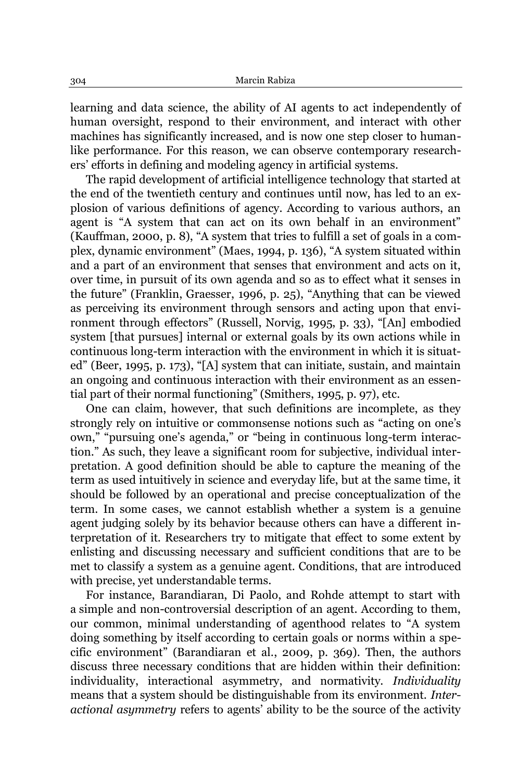learning and data science, the ability of AI agents to act independently of human oversight, respond to their environment, and interact with other machines has significantly increased, and is now one step closer to humanlike performance. For this reason, we can observe contemporary researchers' efforts in defining and modeling agency in artificial systems.

The rapid development of artificial intelligence technology that started at the end of the twentieth century and continues until now, has led to an explosion of various definitions of agency. According to various authors, an agent is "A system that can act on its own behalf in an environment" (Kauffman, 2000, p. 8), "A system that tries to fulfill a set of goals in a complex, dynamic environment" (Maes, 1994, p. 136), "A system situated within and a part of an environment that senses that environment and acts on it, over time, in pursuit of its own agenda and so as to effect what it senses in the future" (Franklin, Graesser, 1996, p. 25), "Anything that can be viewed as perceiving its environment through sensors and acting upon that environment through effectors" (Russell, Norvig, 1995, p. 33), "[An] embodied system [that pursues] internal or external goals by its own actions while in continuous long-term interaction with the environment in which it is situated" (Beer, 1995, p. 173), "[A] system that can initiate, sustain, and maintain an ongoing and continuous interaction with their environment as an essential part of their normal functioning" (Smithers, 1995, p. 97), etc.

One can claim, however, that such definitions are incomplete, as they strongly rely on intuitive or commonsense notions such as "acting on one's own," "pursuing one's agenda," or "being in continuous long-term interaction." As such, they leave a significant room for subjective, individual interpretation. A good definition should be able to capture the meaning of the term as used intuitively in science and everyday life, but at the same time, it should be followed by an operational and precise conceptualization of the term. In some cases, we cannot establish whether a system is a genuine agent judging solely by its behavior because others can have a different interpretation of it. Researchers try to mitigate that effect to some extent by enlisting and discussing necessary and sufficient conditions that are to be met to classify a system as a genuine agent. Conditions, that are introduced with precise, yet understandable terms.

For instance, Barandiaran, Di Paolo, and Rohde attempt to start with a simple and non-controversial description of an agent. According to them, our common, minimal understanding of agenthood relates to "A system doing something by itself according to certain goals or norms within a specific environment" (Barandiaran et al., 2009, p. 369). Then, the authors discuss three necessary conditions that are hidden within their definition: individuality, interactional asymmetry, and normativity. *Individuality* means that a system should be distinguishable from its environment. *Interactional asymmetry* refers to agents' ability to be the source of the activity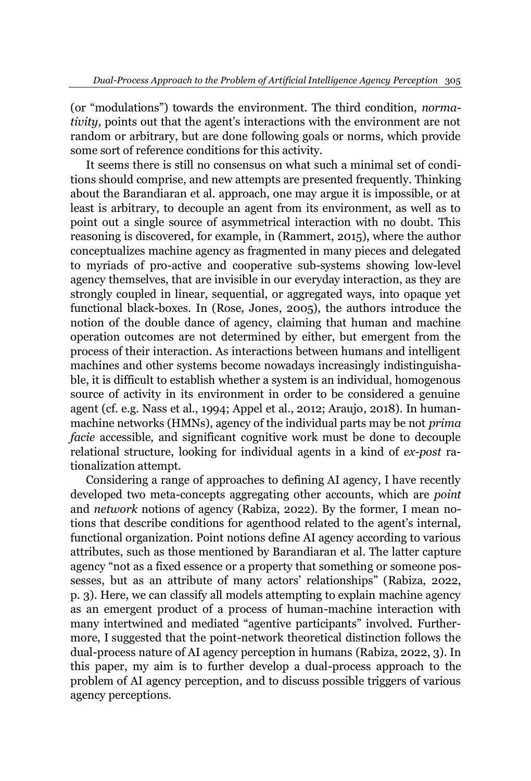(or "modulations") towards the environment. The third condition, *normativity*, points out that the agent's interactions with the environment are not random or arbitrary, but are done following goals or norms, which provide some sort of reference conditions for this activity.

It seems there is still no consensus on what such a minimal set of conditions should comprise, and new attempts are presented frequently. Thinking about the Barandiaran et al. approach, one may argue it is impossible, or at least is arbitrary, to decouple an agent from its environment, as well as to point out a single source of asymmetrical interaction with no doubt. This reasoning is discovered, for example, in (Rammert, 2015), where the author conceptualizes machine agency as fragmented in many pieces and delegated to myriads of pro-active and cooperative sub-systems showing low-level agency themselves, that are invisible in our everyday interaction, as they are strongly coupled in linear, sequential, or aggregated ways, into opaque yet functional black-boxes. In (Rose, Jones, 2005), the authors introduce the notion of the double dance of agency, claiming that human and machine operation outcomes are not determined by either, but emergent from the process of their interaction. As interactions between humans and intelligent machines and other systems become nowadays increasingly indistinguishable, it is difficult to establish whether a system is an individual, homogenous source of activity in its environment in order to be considered a genuine agent (cf. e.g. Nass et al., 1994; Appel et al., 2012; Araujo, 2018). In humanmachine networks (HMNs), agency of the individual parts may be not *prima facie* accessible, and significant cognitive work must be done to decouple relational structure, looking for individual agents in a kind of *ex-post* rationalization attempt.

Considering a range of approaches to defining AI agency, I have recently developed two meta-concepts aggregating other accounts, which are *point*  and *network* notions of agency (Rabiza, 2022). By the former, I mean notions that describe conditions for agenthood related to the agent's internal, functional organization. Point notions define AI agency according to various attributes, such as those mentioned by Barandiaran et al. The latter capture agency "not as a fixed essence or a property that something or someone possesses, but as an attribute of many actors' relationships" (Rabiza, 2022, p. 3). Here, we can classify all models attempting to explain machine agency as an emergent product of a process of human-machine interaction with many intertwined and mediated "agentive participants" involved. Furthermore, I suggested that the point-network theoretical distinction follows the dual-process nature of AI agency perception in humans (Rabiza, 2022, 3). In this paper, my aim is to further develop a dual-process approach to the problem of AI agency perception, and to discuss possible triggers of various agency perceptions.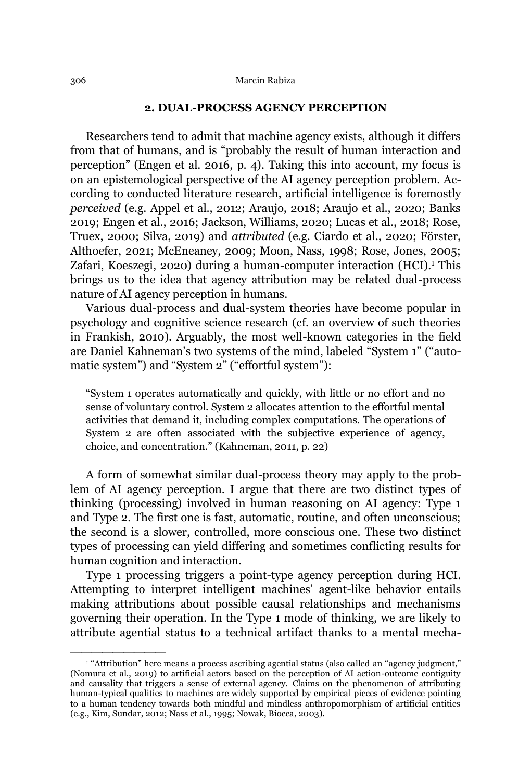### **2. DUAL-PROCESS AGENCY PERCEPTION**

Researchers tend to admit that machine agency exists, although it differs from that of humans, and is "probably the result of human interaction and perception" (Engen et al. 2016, p. 4). Taking this into account, my focus is on an epistemological perspective of the AI agency perception problem. According to conducted literature research, artificial intelligence is foremostly *perceived* (e.g. Appel et al., 2012; Araujo, 2018; Araujo et al., 2020; Banks 2019; Engen et al., 2016; Jackson, Williams, 2020; Lucas et al., 2018; Rose, Truex, 2000; Silva, 2019) and *attributed* (e.g. Ciardo et al., 2020; Förster, Althoefer, 2021; McEneaney, 2009; Moon, Nass, 1998; Rose, Jones, 2005; Zafari, Koeszegi, 2020) during a human-computer interaction (HCI).<sup>1</sup> This brings us to the idea that agency attribution may be related dual-process nature of AI agency perception in humans.

Various dual-process and dual-system theories have become popular in psychology and cognitive science research (cf. an overview of such theories in Frankish, 2010). Arguably, the most well-known categories in the field are Daniel Kahneman's two systems of the mind, labeled "System 1" ("automatic system") and "System 2" ("effortful system"):

³System 1 operates automatically and quickly, with little or no effort and no sense of voluntary control. System 2 allocates attention to the effortful mental activities that demand it, including complex computations. The operations of System 2 are often associated with the subjective experience of agency, choice, and concentration.´ (Kahneman, 2011, p. 22)

A form of somewhat similar dual-process theory may apply to the problem of AI agency perception. I argue that there are two distinct types of thinking (processing) involved in human reasoning on AI agency: Type 1 and Type 2. The first one is fast, automatic, routine, and often unconscious; the second is a slower, controlled, more conscious one. These two distinct types of processing can yield differing and sometimes conflicting results for human cognition and interaction.

Type 1 processing triggers a point-type agency perception during HCI. Attempting to interpret intelligent machines' agent-like behavior entails making attributions about possible causal relationships and mechanisms governing their operation. In the Type 1 mode of thinking, we are likely to attribute agential status to a technical artifact thanks to a mental mecha-

<sup>&</sup>lt;sup>1</sup> "Attribution" here means a process ascribing agential status (also called an "agency judgment," (Nomura et al., 2019) to artificial actors based on the perception of AI action-outcome contiguity and causality that triggers a sense of external agency. Claims on the phenomenon of attributing human-typical qualities to machines are widely supported by empirical pieces of evidence pointing to a human tendency towards both mindful and mindless anthropomorphism of artificial entities (e.g., Kim, Sundar, 2012; Nass et al., 1995; Nowak, Biocca, 2003).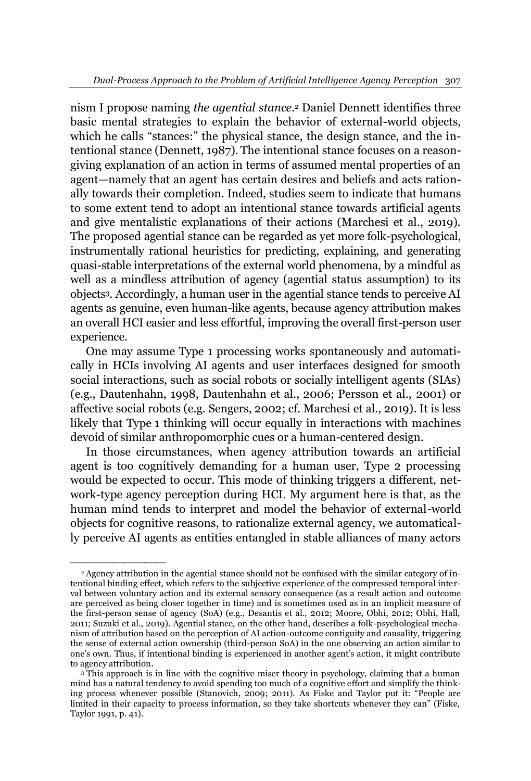nism I propose naming *the agential stance.*<sup>2</sup> Daniel Dennett identifies three basic mental strategies to explain the behavior of external-world objects, which he calls "stances:" the physical stance, the design stance, and the intentional stance (Dennett, 1987). The intentional stance focuses on a reasongiving explanation of an action in terms of assumed mental properties of an agent—namely that an agent has certain desires and beliefs and acts rationally towards their completion. Indeed, studies seem to indicate that humans to some extent tend to adopt an intentional stance towards artificial agents and give mentalistic explanations of their actions (Marchesi et al., 2019). The proposed agential stance can be regarded as yet more folk-psychological, instrumentally rational heuristics for predicting, explaining, and generating quasi-stable interpretations of the external world phenomena, by a mindful as well as a mindless attribution of agency (agential status assumption) to its objects3. Accordingly, a human user in the agential stance tends to perceive AI agents as genuine, even human-like agents, because agency attribution makes an overall HCI easier and less effortful, improving the overall first-person user experience.

One may assume Type 1 processing works spontaneously and automatically in HCIs involving AI agents and user interfaces designed for smooth social interactions, such as social robots or socially intelligent agents (SIAs) (e.g., Dautenhahn, 1998, Dautenhahn et al., 2006; Persson et al., 2001) or affective social robots (e.g. Sengers, 2002; cf. Marchesi et al., 2019). It is less likely that Type 1 thinking will occur equally in interactions with machines devoid of similar anthropomorphic cues or a human-centered design.

In those circumstances, when agency attribution towards an artificial agent is too cognitively demanding for a human user, Type 2 processing would be expected to occur. This mode of thinking triggers a different, network-type agency perception during HCI. My argument here is that, as the human mind tends to interpret and model the behavior of external-world objects for cognitive reasons, to rationalize external agency, we automatically perceive AI agents as entities entangled in stable alliances of many actors

<sup>2</sup> Agency attribution in the agential stance should not be confused with the similar category of intentional binding effect, which refers to the subjective experience of the compressed temporal interval between voluntary action and its external sensory consequence (as a result action and outcome are perceived as being closer together in time) and is sometimes used as in an implicit measure of the first-person sense of agency (SoA) (e.g., Desantis et al., 2012; Moore, Obhi, 2012; Obhi, Hall, 2011; Suzuki et al., 2019). Agential stance, on the other hand, describes a folk-psychological mechanism of attribution based on the perception of AI action-outcome contiguity and causality, triggering the sense of external action ownership (third-person SoA) in the one observing an action similar to one's own. Thus, if intentional binding is experienced in another agent's action, it might contribute to agency attribution.

<sup>&</sup>lt;sup>3</sup> This approach is in line with the cognitive miser theory in psychology, claiming that a human mind has a natural tendency to avoid spending too much of a cognitive effort and simplify the thinking process whenever possible (Stanovich, 2009; 2011). As Fiske and Taylor put it: "People are limited in their capacity to process information, so they take shortcuts whenever they can" (Fiske, Taylor 1991, p. 41).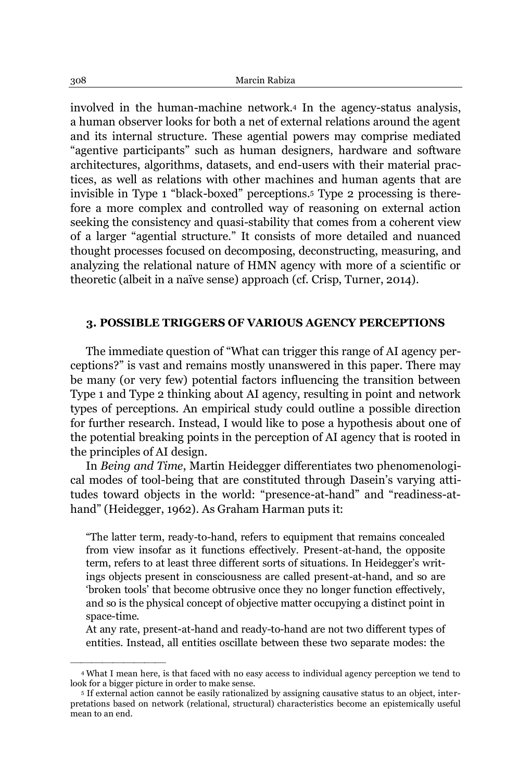involved in the human-machine network.4 In the agency-status analysis, a human observer looks for both a net of external relations around the agent and its internal structure. These agential powers may comprise mediated "agentive participants" such as human designers, hardware and software architectures, algorithms, datasets, and end-users with their material practices, as well as relations with other machines and human agents that are invisible in Type 1 "black-boxed" perceptions.<sup>5</sup> Type 2 processing is therefore a more complex and controlled way of reasoning on external action seeking the consistency and quasi-stability that comes from a coherent view of a larger "agential structure." It consists of more detailed and nuanced thought processes focused on decomposing, deconstructing, measuring, and analyzing the relational nature of HMN agency with more of a scientific or theoretic (albeit in a naïve sense) approach (cf. Crisp, Turner, 2014).

### **3. POSSIBLE TRIGGERS OF VARIOUS AGENCY PERCEPTIONS**

The immediate question of "What can trigger this range of AI agency perceptions?" is vast and remains mostly unanswered in this paper. There may be many (or very few) potential factors influencing the transition between Type 1 and Type 2 thinking about AI agency, resulting in point and network types of perceptions. An empirical study could outline a possible direction for further research. Instead, I would like to pose a hypothesis about one of the potential breaking points in the perception of AI agency that is rooted in the principles of AI design.

In *Being and Time*, Martin Heidegger differentiates two phenomenological modes of tool-being that are constituted through Dasein's varying attitudes toward objects in the world: "presence-at-hand" and "readiness-athand" (Heidegger, 1962). As Graham Harman puts it:

³The latter term, ready-to-hand, refers to equipment that remains concealed from view insofar as it functions effectively. Present-at-hand, the opposite term, refers to at least three different sorts of situations. In Heidegger's writings objects present in consciousness are called present-at-hand, and so are "broken tools" that become obtrusive once they no longer function effectively, and so is the physical concept of objective matter occupying a distinct point in space-time.

At any rate, present-at-hand and ready-to-hand are not two different types of entities. Instead, all entities oscillate between these two separate modes: the

<sup>4</sup> What I mean here, is that faced with no easy access to individual agency perception we tend to look for a bigger picture in order to make sense.

<sup>5</sup> If external action cannot be easily rationalized by assigning causative status to an object, interpretations based on network (relational, structural) characteristics become an epistemically useful mean to an end.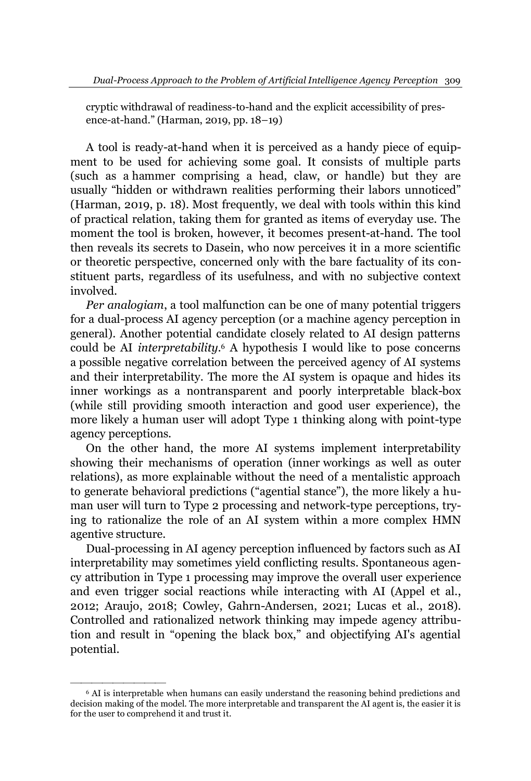cryptic withdrawal of readiness-to-hand and the explicit accessibility of presence-at-hand." (Harman, 2019, pp. 18-19)

A tool is ready-at-hand when it is perceived as a handy piece of equipment to be used for achieving some goal. It consists of multiple parts (such as a hammer comprising a head, claw, or handle) but they are usually "hidden or withdrawn realities performing their labors unnoticed" (Harman, 2019, p. 18). Most frequently, we deal with tools within this kind of practical relation, taking them for granted as items of everyday use. The moment the tool is broken, however, it becomes present-at-hand. The tool then reveals its secrets to Dasein, who now perceives it in a more scientific or theoretic perspective, concerned only with the bare factuality of its constituent parts, regardless of its usefulness, and with no subjective context involved.

*Per analogiam*, a tool malfunction can be one of many potential triggers for a dual-process AI agency perception (or a machine agency perception in general). Another potential candidate closely related to AI design patterns could be AI *interpretability.*<sup>6</sup> A hypothesis I would like to pose concerns a possible negative correlation between the perceived agency of AI systems and their interpretability. The more the AI system is opaque and hides its inner workings as a nontransparent and poorly interpretable black-box (while still providing smooth interaction and good user experience), the more likely a human user will adopt Type 1 thinking along with point-type agency perceptions.

On the other hand, the more AI systems implement interpretability showing their mechanisms of operation (inner workings as well as outer relations), as more explainable without the need of a mentalistic approach to generate behavioral predictions ("agential stance"), the more likely a human user will turn to Type 2 processing and network-type perceptions, trying to rationalize the role of an AI system within a more complex HMN agentive structure.

Dual-processing in AI agency perception influenced by factors such as AI interpretability may sometimes yield conflicting results. Spontaneous agency attribution in Type 1 processing may improve the overall user experience and even trigger social reactions while interacting with AI (Appel et al., 2012; Araujo, 2018; Cowley, Gahrn-Andersen, 2021; Lucas et al., 2018). Controlled and rationalized network thinking may impede agency attribution and result in "opening the black box," and objectifying AI's agential potential.

<sup>6</sup> AI is interpretable when humans can easily understand the reasoning behind predictions and decision making of the model. The more interpretable and transparent the AI agent is, the easier it is for the user to comprehend it and trust it.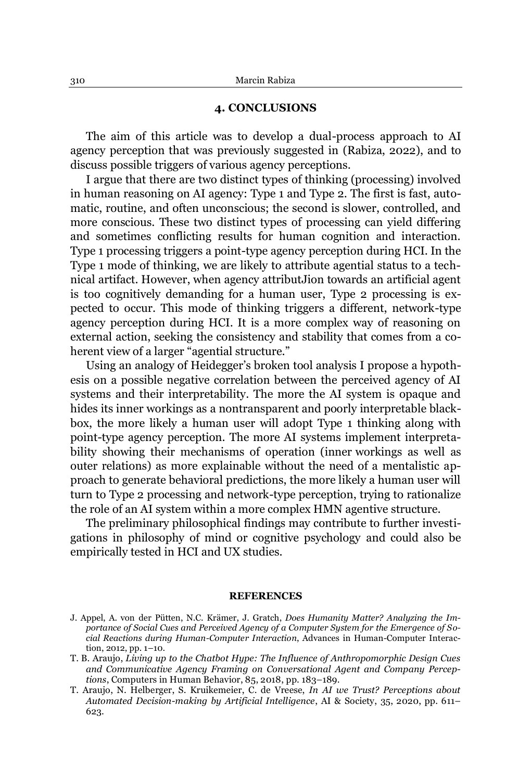### **4. CONCLUSIONS**

The aim of this article was to develop a dual-process approach to AI agency perception that was previously suggested in (Rabiza, 2022), and to discuss possible triggers of various agency perceptions.

I argue that there are two distinct types of thinking (processing) involved in human reasoning on AI agency: Type 1 and Type 2. The first is fast, automatic, routine, and often unconscious; the second is slower, controlled, and more conscious. These two distinct types of processing can yield differing and sometimes conflicting results for human cognition and interaction. Type 1 processing triggers a point-type agency perception during HCI. In the Type 1 mode of thinking, we are likely to attribute agential status to a technical artifact. However, when agency attributJion towards an artificial agent is too cognitively demanding for a human user, Type 2 processing is expected to occur. This mode of thinking triggers a different, network-type agency perception during HCI. It is a more complex way of reasoning on external action, seeking the consistency and stability that comes from a coherent view of a larger "agential structure."

Using an analogy of Heidegger's broken tool analysis I propose a hypothesis on a possible negative correlation between the perceived agency of AI systems and their interpretability. The more the AI system is opaque and hides its inner workings as a nontransparent and poorly interpretable blackbox, the more likely a human user will adopt Type 1 thinking along with point-type agency perception. The more AI systems implement interpretability showing their mechanisms of operation (inner workings as well as outer relations) as more explainable without the need of a mentalistic approach to generate behavioral predictions, the more likely a human user will turn to Type 2 processing and network-type perception, trying to rationalize the role of an AI system within a more complex HMN agentive structure.

The preliminary philosophical findings may contribute to further investigations in philosophy of mind or cognitive psychology and could also be empirically tested in HCI and UX studies.

#### **REFERENCES**

J. Appel, A. von der Pütten, N.C. Krämer, J. Gratch, *Does Humanity Matter? Analyzing the Importance of Social Cues and Perceived Agency of a Computer System for the Emergence of Social Reactions during Human-Computer Interaction*, [Advances in Human-Computer Interac](https://www.researchgate.net/publication/journal/Advances-in-Human-Computer-Interaction-1687-5907)[tion,](https://www.researchgate.net/publication/journal/Advances-in-Human-Computer-Interaction-1687-5907) 2012, pp. 1-10.

T. B. Araujo, *Living up to the Chatbot Hype: The Influence of Anthropomorphic Design Cues and Communicative Agency Framing on Conversational Agent and Company Perceptions*, Computers in Human Behavior, 85, 2018, pp. 183-189.

T. Araujo, N. Helberger, S. Kruikemeier, C. de Vreese, *In AI we Trust? Perceptions about Automated Decision-making by Artificial Intelligence*, AI & Society, 35, 2020, pp. 611± 623.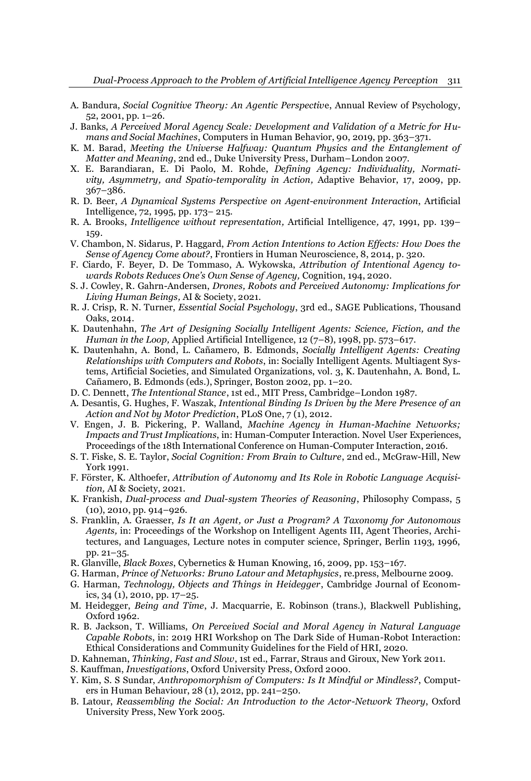- A. Bandura, *Social Cognitive Theory: An Agentic Perspectiv*e, Annual Review of Psychology,  $52, 2001, pp. 1-26.$
- J. Banks, *A Perceived Moral Agency Scale: Development and Validation of a Metric for Humans and Social Machines, Computers in Human Behavior, 90, 2019, pp. 363–371.*
- K. M. Barad, *Meeting the Universe Halfway: Quantum Physics and the Entanglement of Matter and Meaning*, 2nd ed., Duke University Press, Durham-London 2007.
- X. E. Barandiaran, E. Di Paolo, M. Rohde, *Defining Agency: Individuality, Normativity, Asymmetry, and Spatio-temporality in Action,* Adaptive Behavior, 17, 2009, pp. 367±386.
- R. D. Beer, *A Dynamical Systems Perspective on Agent-environment Interaction*, Artificial Intelligence, 72, 1995, pp. 173± 215.
- R. A. Brooks, *Intelligence without representation,* Artificial Intelligence*,* 47, 1991, pp. 139± 159.
- V. Chambon, N. Sidarus, P. Haggard, *From Action Intentions to Action Effects: How Does the Sense of Agency Come about?*, Frontiers in Human Neuroscience, 8, 2014, p. 320.
- F. Ciardo, F. Beyer, D. De Tommaso, A. Wykowska, *Attribution of Intentional Agency towards Robots Reduces One's Own Sense of Agency, Cognition, 194, 2020.*
- S. J. Cowley, R. Gahrn-Andersen, *Drones, Robots and Perceived Autonomy: Implications for Living Human Beings,* AI & Society, 2021.
- R. J. Crisp, R. N. Turner, *Essential Social Psychology*, 3rd ed., SAGE Publications, Thousand Oaks, 2014.
- K. Dautenhahn, *The Art of Designing Socially Intelligent Agents: Science, Fiction, and the Human in the Loop, Applied Artificial Intelligence, 12 (7-8), 1998, pp. 573-617.*
- K. Dautenhahn, A. Bond, L. Cañamero, B. Edmonds, Socially Intelligent Agents: Creating *Relationships with Computers and Robots*, in: Socially Intelligent Agents. Multiagent Systems, Artificial Societies, and Simulated Organizations, vol. 3, K. Dautenhahn, A. Bond, L. Cañamero, B. Edmonds (eds.), Springer, Boston 2002, pp. 1-20.
- D. C. Dennett, *The Intentional Stance*, 1st ed., MIT Press, Cambridge–London 1987.
- A. Desantis, G. Hughes, F. Waszak, *Intentional Binding Is Driven by the Mere Presence of an Action and Not by Motor Prediction*, PLoS One, 7 (1), 2012.
- V. Engen, J. B. Pickering, P. Walland, *Machine Agency in Human-Machine Networks; Impacts and Trust Implications*, in: Human-Computer Interaction. Novel User Experiences, Proceedings of the 18th International Conference on Human-Computer Interaction, 2016.
- S. T. Fiske, S. E. Taylor, *Social Cognition: From Brain to Culture*, 2nd ed., McGraw-Hill, New York 1991.
- $F.$  Förster, K. Althoefer, *Attribution of Autonomy and Its Role in Robotic Language Acquisition,* AI & Society, 2021.
- K. Frankish, *Dual-process and Dual-system Theories of Reasoning*, Philosophy Compass, 5  $(10)$ , 2010, pp. 914-926.
- S. Franklin, A. Graesser, *Is It an Agent, or Just a Program? A Taxonomy for Autonomous Agents,* in: Proceedings of the Workshop on Intelligent Agents III, Agent Theories, Architectures, and Languages, Lecture notes in computer science, Springer, Berlin 1193, 1996, pp. 21-35.
- R. Glanville, *Black Boxes*, Cybernetics & Human Knowing, 16, 2009, pp. 153±167.
- G. Harman, *Prince of Networks: Bruno Latour and Metaphysics*, re.press, Melbourne 2009.
- G. Harman, *Technology, Objects and Things in Heidegger*, Cambridge Journal of Economics,  $34$  (1), 2010, pp.  $17-25$ .
- M. Heidegger, *Being and Time*, J. Macquarrie, E. Robinson (trans.), Blackwell Publishing, Oxford 1962.
- R. B. Jackson, T. Williams, *On Perceived Social and Moral Agency in Natural Language Capable Robot*s, in: 2019 HRI Workshop on The Dark Side of Human-Robot Interaction: Ethical Considerations and Community Guidelines for the Field of HRI, 2020.
- D. Kahneman, *Thinking, Fast and Slow*, 1st ed., Farrar, Straus and Giroux, New York 2011.
- S. Kauffman, *Investigations*, Oxford University Press, Oxford 2000.
- Y. Kim, S. S Sundar, *Anthropomorphism of Computers: Is It Mindful or Mindless?*, Computers in Human Behaviour,  $28(1)$ , 2012, pp. 241-250.
- B. Latour, *Reassembling the Social: An Introduction to the Actor-Network Theory*, Oxford University Press, New York 2005.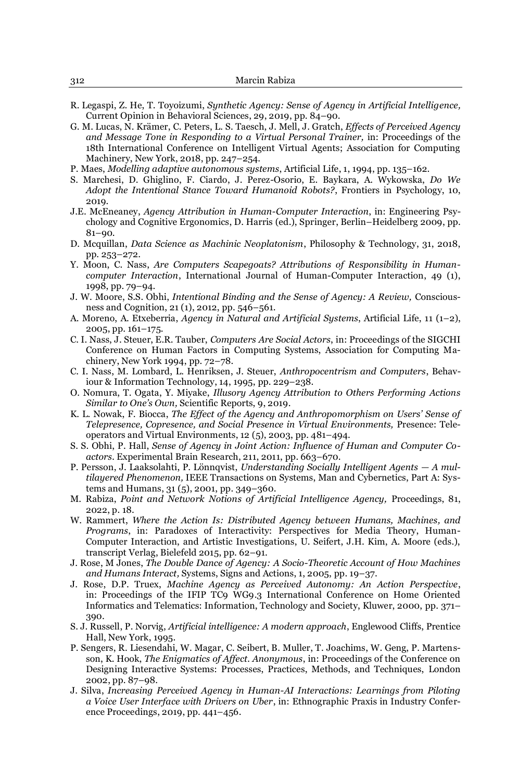- R. Legaspi, Z. He, T. Toyoizumi, *Synthetic Agency: Sense of Agency in Artificial Intelligence,* Current Opinion in Behavioral Sciences, 29, 2019, pp. 84-90.
- G. M. Lucas, N. Krämer, C. Peters, L. S. Taesch, J. Mell, J. Gratch, *Effects of Perceived Agency and Message Tone in Responding to a Virtual Personal Trainer,* in: Proceedings of the 18th International Conference on Intelligent Virtual Agents; Association for Computing Machinery, New York, 2018, pp. 247-254.
- P. Maes, *Modelling adaptive autonomous systems*, Artificial Life, 1, 1994, pp. 135±162.
- S. Marchesi, D. Ghiglino, F. Ciardo, J. Perez-Osorio, E. Baykara, A. Wykowska, *Do We Adopt the Intentional Stance Toward Humanoid Robots?*, Frontiers in Psychology, 10, 2019.
- J.E. McEneaney, *Agency Attribution in Human-Computer Interaction*, in: Engineering Psychology and Cognitive Ergonomics, D. Harris (ed.), Springer, Berlin–Heidelberg 2009, pp.  $81 - 90.$
- D. Mcquillan, *Data Science as Machinic Neoplatonism*, Philosophy & Technology, 31, 2018, pp. 253±272.
- Y. Moon, C. Nass, *Are Computers Scapegoats? Attributions of Responsibility in Humancomputer Interaction*, International Journal of Human-Computer Interaction, 49 (1), 1998, pp. 79-94.
- J. W. Moore, S.S. Obhi, *Intentional Binding and the Sense of Agency: A Review,* Consciousness and Cognition, 21 (1), 2012, pp. 546-561.
- A. Moreno, A. Etxeberria, *Agency in Natural and Artificial Systems*, Artificial Life, 11 (1–2),  $2005$ , pp.  $161-175$ .
- C. I. Nass, J. Steuer, E.R. Tauber, *Computers Are Social Actors*, in: Proceedings of the SIGCHI Conference on Human Factors in Computing Systems, Association for Computing Machinery, New York 1994, pp. 72-78.
- C. I. Nass, M. Lombard, L. Henriksen, J. Steuer, *Anthropocentrism and Computers*, Behaviour & Information Technology,  $14, 1995$ , pp.  $229-238$ .
- O. Nomura, T. Ogata, Y. Miyake, *Illusory Agency Attribution to Others Performing Actions Similar to One's Own, Scientific Reports, 9, 2019.*
- K. L. Nowak, F. Biocca, *The Effect of the Agency and Anthropomorphism on Users' Sense of Telepresence, Copresence, and Social Presence in Virtual Environments,* Presence: Teleoperators and Virtual Environments, 12 (5), 2003, pp. 481-494.
- S. S. Obhi, P. Hall, *Sense of Agency in Joint Action: Influence of Human and Computer Coactors.* Experimental Brain Research, 211, 2011, pp. 663-670.
- 8. Persson, J. Laaksolahti, P. Lönnqvist, Understanding Socially Intelligent Agents A mul*tilayered Phenomenon,* IEEE Transactions on Systems, Man and Cybernetics, Part A: Systems and Humans,  $31(5)$ , 2001, pp.  $349-360$ .
- M. Rabiza, *Point and Network Notions of Artificial Intelligence Agency,* Proceedings, 81, 2022, p. 18.
- W. Rammert, *Where the Action Is: Distributed Agency between Humans, Machines, and Programs*, in: Paradoxes of Interactivity: Perspectives for Media Theory, Human-Computer Interaction, and Artistic Investigations, U. Seifert, J.H. Kim, A. Moore (eds.), transcript Verlag, Bielefeld 2015, pp. 62-91.
- J. Rose, M Jones, *The Double Dance of Agency: A Socio-Theoretic Account of How Machines*  and Humans Interact, Systems, Signs and Actions, 1, 2005, pp. 19-37.
- J. Rose, D.P. Truex, *Machine Agency as Perceived Autonomy: An Action Perspective*, in: Proceedings of the IFIP TC9 WG9.3 International Conference on Home Oriented Informatics and Telematics: Information, Technology and Society, Kluwer, 2000, pp. 371± 390.
- S. J. Russell, P. Norvig, *Artificial intelligence: A modern approach*, Englewood Cliffs, Prentice Hall, New York, 1995.
- P. Sengers, R. Liesendahi, W. Magar, C. Seibert, B. Muller, T. Joachims, W. Geng, P. Martensson, K. Hook, *The Enigmatics of Affect. Anonymous*, in: Proceedings of the Conference on Designing Interactive Systems: Processes, Practices, Methods, and Techniques, London 2002, pp. 87-98.
- J. Silva, *Increasing Perceived Agency in Human-AI Interactions: Learnings from Piloting a Voice User Interface with Drivers on Uber*, in: Ethnographic Praxis in Industry Conference Proceedings, 2019, pp. 441-456.